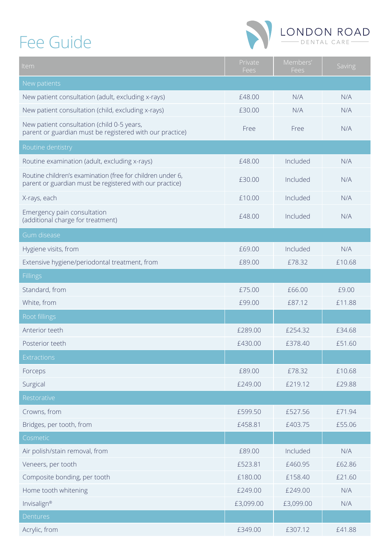## Fee Guide



| Item                                                                                                                   | Private<br>Fees | Members'<br>Fees | Saving |
|------------------------------------------------------------------------------------------------------------------------|-----------------|------------------|--------|
| New patients                                                                                                           |                 |                  |        |
| New patient consultation (adult, excluding x-rays)                                                                     | £48.00          | N/A              | N/A    |
| New patient consultation (child, excluding x-rays)                                                                     | £30.00          | N/A              | N/A    |
| New patient consultation (child 0-5 years,<br>parent or guardian must be registered with our practice)                 | Free            | Free             | N/A    |
| Routine dentistry                                                                                                      |                 |                  |        |
| Routine examination (adult, excluding x-rays)                                                                          | £48.00          | Included         | N/A    |
| Routine children's examination (free for children under 6,<br>parent or guardian must be registered with our practice) | £30.00          | Included         | N/A    |
| X-rays, each                                                                                                           | £10.00          | Included         | N/A    |
| Emergency pain consultation<br>(additional charge for treatment)                                                       | £48.00          | Included         | N/A    |
| Gum disease                                                                                                            |                 |                  |        |
| Hygiene visits, from                                                                                                   | £69.00          | Included         | N/A    |
| Extensive hygiene/periodontal treatment, from                                                                          | £89.00          | £78.32           | £10.68 |
| <b>Fillings</b>                                                                                                        |                 |                  |        |
| Standard, from                                                                                                         | £75.00          | £66.00           | £9.00  |
| White, from                                                                                                            | £99.00          | £87.12           | £11.88 |
| Root fillings                                                                                                          |                 |                  |        |
| Anterior teeth                                                                                                         | £289.00         | £254.32          | £34.68 |
| Posterior teeth                                                                                                        | £430.00         | £378.40          | £51.60 |
| Extractions                                                                                                            |                 |                  |        |
| Forceps                                                                                                                | £89.00          | £78.32           | £10.68 |
| Surgical                                                                                                               | £249.00         | £219.12          | £29.88 |
| Restorative                                                                                                            |                 |                  |        |
| Crowns, from                                                                                                           | £599.50         | £527.56          | £71.94 |
| Bridges, per tooth, from                                                                                               | £458.81         | £403.75          | £55.06 |
| Cosmetic                                                                                                               |                 |                  |        |
| Air polish/stain removal, from                                                                                         | £89.00          | Included         | N/A    |
| Veneers, per tooth                                                                                                     | £523.81         | £460.95          | £62.86 |
| Composite bonding, per tooth                                                                                           | £180.00         | £158.40          | £21.60 |
| Home tooth whitening                                                                                                   | £249.00         | £249.00          | N/A    |
| Invisalign®                                                                                                            | £3,099.00       | £3,099.00        | N/A    |
| Dentures                                                                                                               |                 |                  |        |
| Acrylic, from                                                                                                          | £349.00         | £307.12          | £41.88 |